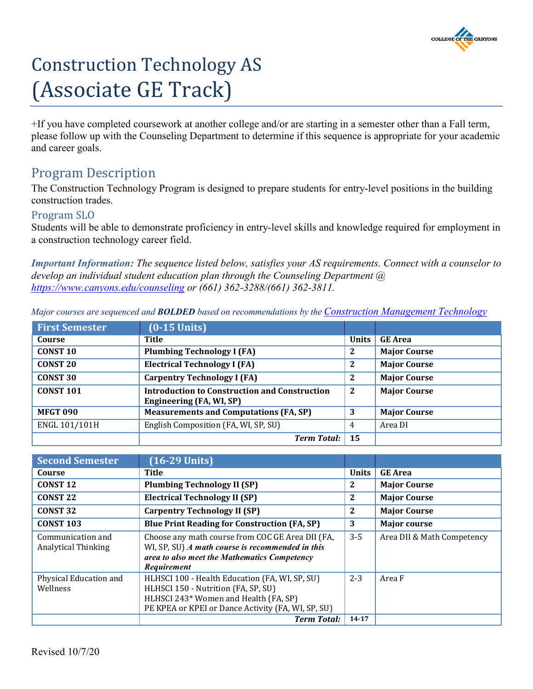

# Construction Technology AS (Associate GE Track)

+If you have completed coursework at another college and/or are starting in a semester other than a Fall term, please follow up with the Counseling Department to determine if this sequence is appropriate for your academic and career goals.

# Program Description

The Construction Technology Program is designed to prepare students for entry-level positions in the building construction trades.

## Program SLO

Students will be able to demonstrate proficiency in entry-level skills and knowledge required for employment in a construction technology career field.

*Important Information: The sequence listed below, satisfies your AS requirements. Connect with a counselor to develop an individual student education plan through the Counseling Department @ <https://www.canyons.edu/counseling> or (661) 362-3288/(661) 362-3811.*

| <b>First Semester</b> | $(0-15$ Units)                                                                   |              |                     |
|-----------------------|----------------------------------------------------------------------------------|--------------|---------------------|
| Course                | <b>Title</b>                                                                     | <b>Units</b> | <b>GE Area</b>      |
| <b>CONST 10</b>       | <b>Plumbing Technology I (FA)</b>                                                | $\mathbf{2}$ | <b>Major Course</b> |
| <b>CONST 20</b>       | <b>Electrical Technology I (FA)</b>                                              | 2            | <b>Major Course</b> |
| <b>CONST 30</b>       | <b>Carpentry Technology I (FA)</b>                                               | 2            | <b>Major Course</b> |
| <b>CONST 101</b>      | <b>Introduction to Construction and Construction</b><br>Engineering (FA, WI, SP) | 2            | <b>Major Course</b> |
| <b>MFGT 090</b>       | <b>Measurements and Computations (FA, SP)</b>                                    | 3            | <b>Major Course</b> |
| ENGL 101/101H         | English Composition (FA, WI, SP, SU)                                             | 4            | Area DI             |
|                       | <b>Term Total:</b>                                                               | 15           |                     |

*Major courses are sequenced and BOLDED based on recommendations by the [Construction Management Technology](http://www.canyons.edu/const)*

| <b>Second Semester</b>                          | $(16-29$ Units)                                                                                                                                                                      |              |                            |
|-------------------------------------------------|--------------------------------------------------------------------------------------------------------------------------------------------------------------------------------------|--------------|----------------------------|
| Course                                          | <b>Title</b>                                                                                                                                                                         | <b>Units</b> | <b>GE</b> Area             |
| <b>CONST 12</b>                                 | <b>Plumbing Technology II (SP)</b>                                                                                                                                                   | 2            | <b>Major Course</b>        |
| <b>CONST 22</b>                                 | <b>Electrical Technology II (SP)</b>                                                                                                                                                 | 2            | <b>Major Course</b>        |
| <b>CONST 32</b>                                 | <b>Carpentry Technology II (SP)</b>                                                                                                                                                  | 2            | <b>Major Course</b>        |
| <b>CONST 103</b>                                | <b>Blue Print Reading for Construction (FA, SP)</b>                                                                                                                                  | 3            | <b>Major course</b>        |
| Communication and<br><b>Analytical Thinking</b> | Choose any math course from COC GE Area DII (FA,<br>WI, SP, SU) A math course is recommended in this<br>area to also meet the Mathematics Competency<br>Requirement                  | $3 - 5$      | Area DII & Math Competency |
| Physical Education and<br>Wellness              | HLHSCI 100 - Health Education (FA, WI, SP, SU)<br>HLHSCI 150 - Nutrition (FA, SP, SU)<br>HLHSCI 243* Women and Health (FA, SP)<br>PE KPEA or KPEI or Dance Activity (FA, WI, SP, SU) | $2 - 3$      | Area F                     |
|                                                 | <b>Term Total:</b>                                                                                                                                                                   | 14-17        |                            |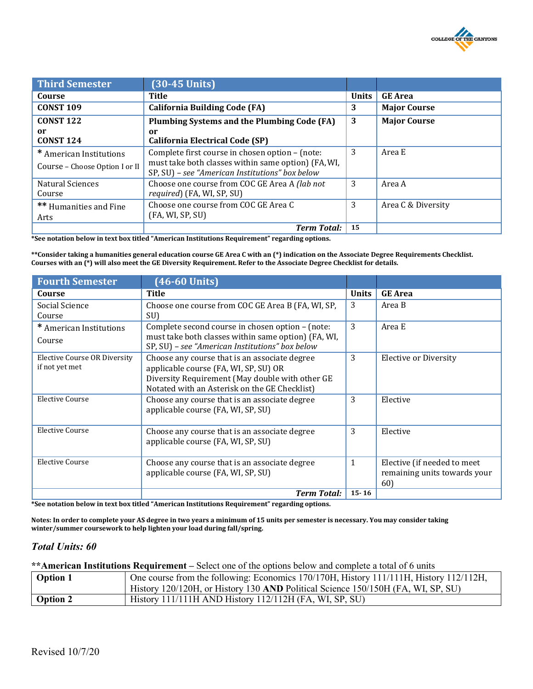

| <b>Third Semester</b>                                     | $(30-45$ Units)                                                                                                                                           |              |                     |
|-----------------------------------------------------------|-----------------------------------------------------------------------------------------------------------------------------------------------------------|--------------|---------------------|
| Course                                                    | <b>Title</b>                                                                                                                                              | <b>Units</b> | <b>GE</b> Area      |
| <b>CONST 109</b>                                          | <b>California Building Code (FA)</b>                                                                                                                      | 3            | <b>Major Course</b> |
| <b>CONST 122</b>                                          | Plumbing Systems and the Plumbing Code (FA)                                                                                                               | 3            | <b>Major Course</b> |
| or<br><b>CONST 124</b>                                    | or<br><b>California Electrical Code (SP)</b>                                                                                                              |              |                     |
| * American Institutions<br>Course – Choose Option I or II | Complete first course in chosen option - (note:<br>must take both classes within same option) (FA, WI,<br>SP, SU) - see "American Institutions" box below | 3            | Area E              |
| Natural Sciences<br>Course                                | Choose one course from COC GE Area A (lab not<br>required) (FA, WI, SP, SU)                                                                               | 3            | Area A              |
| <b>**</b> Humanities and Fine<br>Arts                     | Choose one course from COC GE Area C<br>(FA, WI, SP, SU)                                                                                                  | 3            | Area C & Diversity  |
|                                                           | <b>Term Total:</b>                                                                                                                                        | 15           |                     |

**\*See notation below in text box titled "American Institutions Requirement" regarding options.**

**\*\*Consider taking a humanities general education course GE Area C with an (\*) indication on the Associate Degree Requirements Checklist. Courses with an (\*) will also meet the GE Diversity Requirement. Refer to the Associate Degree Checklist for details.**

| <b>Fourth Semester</b>              | $(46-60$ Units)                                                                                        |              |                              |
|-------------------------------------|--------------------------------------------------------------------------------------------------------|--------------|------------------------------|
| Course                              | <b>Title</b>                                                                                           | <b>Units</b> | <b>GE</b> Area               |
| Social Science                      | Choose one course from COC GE Area B (FA, WI, SP,                                                      | 3            | Area B                       |
| Course                              | SU)                                                                                                    |              |                              |
| * American Institutions             | Complete second course in chosen option - (note:                                                       | 3            | Area E                       |
| Course                              | must take both classes within same option) (FA, WI,<br>SP, SU) - see "American Institutions" box below |              |                              |
| <b>Elective Course OR Diversity</b> | Choose any course that is an associate degree                                                          | 3            | Elective or Diversity        |
| if not yet met                      | applicable course (FA, WI, SP, SU) OR                                                                  |              |                              |
|                                     | Diversity Requirement (May double with other GE                                                        |              |                              |
|                                     | Notated with an Asterisk on the GE Checklist)                                                          |              |                              |
| Elective Course                     | Choose any course that is an associate degree<br>applicable course (FA, WI, SP, SU)                    | 3            | Elective                     |
| Elective Course                     | Choose any course that is an associate degree                                                          | 3            | Elective                     |
|                                     | applicable course (FA, WI, SP, SU)                                                                     |              |                              |
| <b>Elective Course</b>              | Choose any course that is an associate degree                                                          | $\mathbf{1}$ | Elective (if needed to meet  |
|                                     | applicable course (FA, WI, SP, SU)                                                                     |              | remaining units towards your |
|                                     |                                                                                                        |              | 60)                          |
|                                     | <b>Term Total:</b>                                                                                     | $15 - 16$    |                              |

**\*See notation below in text box titled "American Institutions Requirement" regarding options.**

**Notes: In order to complete your AS degree in two years a minimum of 15 units per semester is necessary. You may consider taking winter/summer coursework to help lighten your load during fall/spring.**

#### *Total Units: 60*

**\*\*American Institutions Requirement –** Select one of the options below and complete a total of 6 units

| <b>Option 1</b> | One course from the following: Economics 170/170H, History 111/11H, History 112/112H, |
|-----------------|---------------------------------------------------------------------------------------|
|                 | History 120/120H, or History 130 AND Political Science 150/150H (FA, WI, SP, SU)      |
| <b>Option 2</b> | History 111/111H AND History 112/112H (FA, WI, SP, SU)                                |